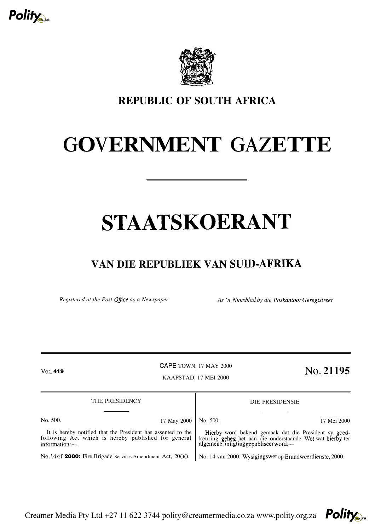



### **REPUBLIC OF SOUTH AFRICA**

## GOVERNMENT GAZETTE

# STAATSKOERANT

## **VAN DIE REPUBLIEK VAN SUID-AFRIKA**

*Registered at the Post O@ce as a Newspaper As 'n Nuusblad by die Poskantoor Geregistreer*

CAPE TOWN, 17 MAY 2000 VOL. 419 VOL. 419 KAAPSTAD, 17 MEI 2000

| THE PRESIDENCY                                                                                                                       |             | DIE PRESIDENSIE                                                                                                                                            |             |
|--------------------------------------------------------------------------------------------------------------------------------------|-------------|------------------------------------------------------------------------------------------------------------------------------------------------------------|-------------|
|                                                                                                                                      |             |                                                                                                                                                            |             |
| No. 500.                                                                                                                             | 17 May 2000 | No. 500.                                                                                                                                                   | 17 Mei 2000 |
| It is hereby notified that the President has assented to the<br>following Act which is hereby published for general<br>information:— |             | Hierby word bekend gemaak dat die President sy goed-<br>keuring geheg het aan die onderstaande Wet wat hierby ter<br>algemene inligting gepubliseer word:— |             |
| No. 14 of <b>2000:</b> Fire Brigade Services Amendment Act, $20()()$ .                                                               |             | No. 14 van 2000: Wysigingswet op Brandweerdienste, 2000.                                                                                                   |             |

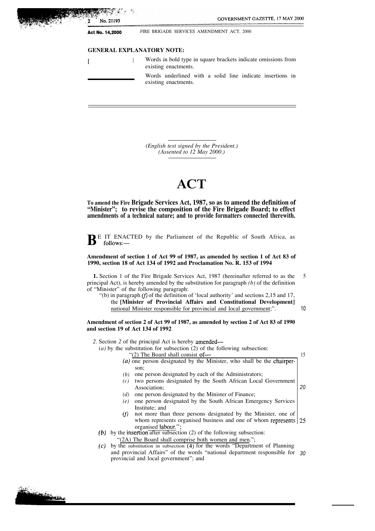Act No. 14.2000 FIRE BRIGADE SERVICES AMENDMENT ACT, 2000

21105

#### **GENERAL EXPLANATORY NOTE:**

|  | Words in bold type in square brackets indicate omissions from<br>existing enactments. |
|--|---------------------------------------------------------------------------------------|
|  | Words underlined with a solid line indicate insertions in<br>existing enactments.     |

*(English text signed by the President.) (Assented to 12 May 2000.)*

## **ACT**

**To amend the Fire Brigade Services Act, 1987, so as to amend the definition of "Minister"; to revise the composition of the Fire Brigade Board; to effect amendments of a technical nature; and to provide formatters connected therewith.**

BE IT ENACTED by the Parliament of the Republic of South Africa, as follows:—

#### **Amendment of section 1 of Act 99 of 1987, as amended by section 1 of Act 83 of 1990, section 18 of Act 134 of 1992 and Proclamation No. R. 153 of 1994**

**1.** Section 1 of the Fire Brigade Services Act, 1987 (hereinafter referred to as the principal Act), is hereby amended by the substitution for paragraph *(b)* of the definition of "Minister" of the following paragraph: 5

"(b) in paragraph  $(f)$  of the definition of 'local authority' and sections 2,15 and 17, the **[Minister of Provincial Affairs and Constitutional Development]** national Minister responsible for provincial and local government;". 10

**Amendment of section 2 of Act 99 of 1987, as amended by section 2 of Act 83 of 1990 and section 19 of Act 134 of 1992**

*2.* Section *2* of the principal Act is hereby amended—

- *(a)* by the substitution for subsection (2) of the following subsection: "(2) The Board shall consist of— *(a)* one person designated by the Minister, who shall be the chairper- *(b)* one person designated by each of the Administrators; *(c)* two persons designated by the South African Local Government *(d)* one person designated by the Minister of Finance; *(e)* one person designated by the South African Emergency Services  $(f)$  not more than three persons designated by the Minister, one of son; Association; Institute; and whom represents organised business and one of whom represents 25 organised Iabour."; 15 20
- **(b)** by the insertion after subsection (2) of the following subsection:
- "(2A) The Board shall comprise both women and men.";
- *(c)* by the substitution in subsection (4) for the words "Department of Planning and provincial Affairs" of the words "national department responsible for 30provincial and local government"; and



:. '.' ,